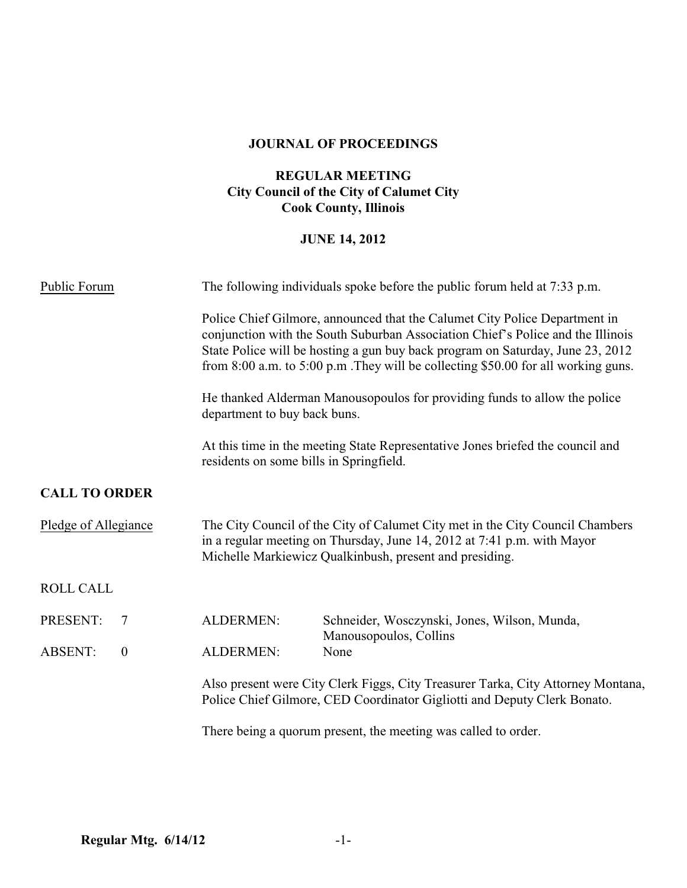## **JOURNAL OF PROCEEDINGS**

## **REGULAR MEETING City Council of the City of Calumet City Cook County, Illinois**

### **JUNE 14, 2012**

| Public Forum                       | The following individuals spoke before the public forum held at 7:33 p.m.                                                                                                                                                                                                                                                                |                                                                        |  |
|------------------------------------|------------------------------------------------------------------------------------------------------------------------------------------------------------------------------------------------------------------------------------------------------------------------------------------------------------------------------------------|------------------------------------------------------------------------|--|
|                                    | Police Chief Gilmore, announced that the Calumet City Police Department in<br>conjunction with the South Suburban Association Chief's Police and the Illinois<br>State Police will be hosting a gun buy back program on Saturday, June 23, 2012<br>from $8:00$ a.m. to $5:00$ p.m. They will be collecting \$50.00 for all working guns. |                                                                        |  |
|                                    | He thanked Alderman Manousopoulos for providing funds to allow the police<br>department to buy back buns.                                                                                                                                                                                                                                |                                                                        |  |
|                                    | At this time in the meeting State Representative Jones briefed the council and<br>residents on some bills in Springfield.                                                                                                                                                                                                                |                                                                        |  |
| <b>CALL TO ORDER</b>               |                                                                                                                                                                                                                                                                                                                                          |                                                                        |  |
| Pledge of Allegiance               | The City Council of the City of Calumet City met in the City Council Chambers<br>in a regular meeting on Thursday, June 14, 2012 at 7:41 p.m. with Mayor<br>Michelle Markiewicz Qualkinbush, present and presiding.                                                                                                                      |                                                                        |  |
| <b>ROLL CALL</b>                   |                                                                                                                                                                                                                                                                                                                                          |                                                                        |  |
| PRESENT:<br>$\overline{7}$         | <b>ALDERMEN:</b>                                                                                                                                                                                                                                                                                                                         | Schneider, Wosczynski, Jones, Wilson, Munda,<br>Manousopoulos, Collins |  |
| <b>ABSENT:</b><br>$\boldsymbol{0}$ | ALDERMEN:                                                                                                                                                                                                                                                                                                                                | None                                                                   |  |
|                                    | Also present were City Clerk Figgs, City Treasurer Tarka, City Attorney Montana,<br>Police Chief Gilmore, CED Coordinator Gigliotti and Deputy Clerk Bonato.                                                                                                                                                                             |                                                                        |  |
|                                    | There being a quorum present, the meeting was called to order.                                                                                                                                                                                                                                                                           |                                                                        |  |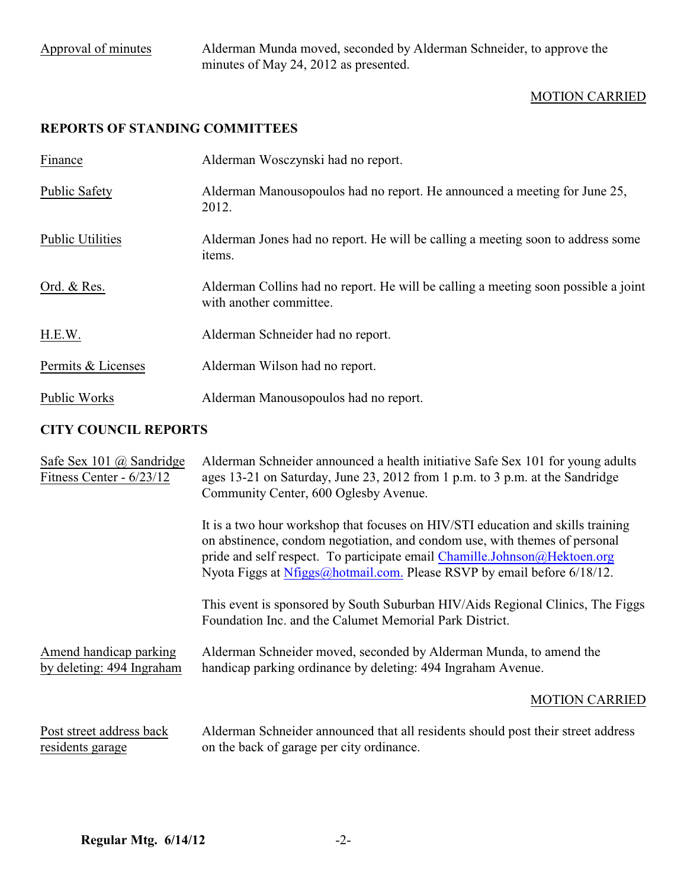Approval of minutes Alderman Munda moved, seconded by Alderman Schneider, to approve the minutes of May 24, 2012 as presented.

## MOTION CARRIED

# **REPORTS OF STANDING COMMITTEES**

| Finance                 | Alderman Wosczynski had no report.                                                                            |
|-------------------------|---------------------------------------------------------------------------------------------------------------|
| <b>Public Safety</b>    | Alderman Manousopoulos had no report. He announced a meeting for June 25,<br>2012.                            |
| <b>Public Utilities</b> | Alderman Jones had no report. He will be calling a meeting soon to address some<br>items.                     |
| Ord. & Res.             | Alderman Collins had no report. He will be calling a meeting soon possible a joint<br>with another committee. |
| H.E.W.                  | Alderman Schneider had no report.                                                                             |
| Permits & Licenses      | Alderman Wilson had no report.                                                                                |
| Public Works            | Alderman Manousopoulos had no report.                                                                         |

## **CITY COUNCIL REPORTS**

| Safe Sex 101 $\omega$ Sandridge<br>Fitness Center - $6/23/12$ | Alderman Schneider announced a health initiative Safe Sex 101 for young adults<br>ages 13-21 on Saturday, June 23, 2012 from 1 p.m. to 3 p.m. at the Sandridge<br>Community Center, 600 Oglesby Avenue.                                                                                                               |
|---------------------------------------------------------------|-----------------------------------------------------------------------------------------------------------------------------------------------------------------------------------------------------------------------------------------------------------------------------------------------------------------------|
|                                                               | It is a two hour workshop that focuses on HIV/STI education and skills training<br>on abstinence, condom negotiation, and condom use, with themes of personal<br>pride and self respect. To participate email Chamille.Johnson@Hektoen.org<br>Nyota Figgs at Nfiggs@hotmail.com. Please RSVP by email before 6/18/12. |
|                                                               | This event is sponsored by South Suburban HIV/Aids Regional Clinics, The Figgs<br>Foundation Inc. and the Calumet Memorial Park District.                                                                                                                                                                             |
| Amend handicap parking<br>by deleting: 494 Ingraham           | Alderman Schneider moved, seconded by Alderman Munda, to amend the<br>handicap parking ordinance by deleting: 494 Ingraham Avenue.                                                                                                                                                                                    |
|                                                               | <b>MOTION CARRIED</b>                                                                                                                                                                                                                                                                                                 |
| Post street address back<br>residents garage                  | Alderman Schneider announced that all residents should post their street address<br>on the back of garage per city ordinance.                                                                                                                                                                                         |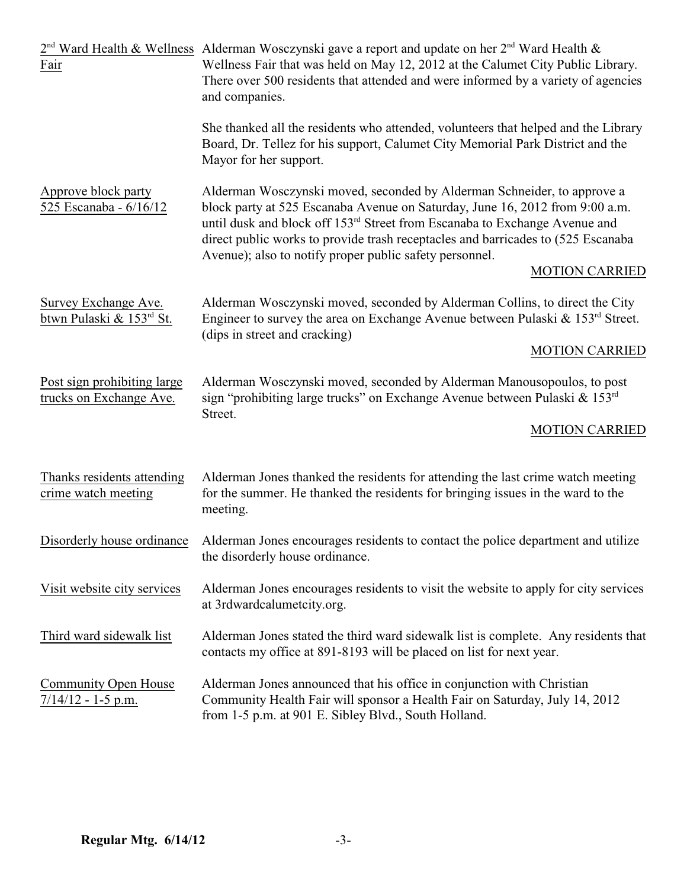| Fair                                                   | $2nd$ Ward Health & Wellness Alderman Wosczynski gave a report and update on her $2nd$ Ward Health &<br>Wellness Fair that was held on May 12, 2012 at the Calumet City Public Library.<br>There over 500 residents that attended and were informed by a variety of agencies<br>and companies.                                                                                                                            |  |
|--------------------------------------------------------|---------------------------------------------------------------------------------------------------------------------------------------------------------------------------------------------------------------------------------------------------------------------------------------------------------------------------------------------------------------------------------------------------------------------------|--|
|                                                        | She thanked all the residents who attended, volunteers that helped and the Library<br>Board, Dr. Tellez for his support, Calumet City Memorial Park District and the<br>Mayor for her support.                                                                                                                                                                                                                            |  |
| Approve block party<br>525 Escanaba - 6/16/12          | Alderman Wosczynski moved, seconded by Alderman Schneider, to approve a<br>block party at 525 Escanaba Avenue on Saturday, June 16, 2012 from 9:00 a.m.<br>until dusk and block off 153 <sup>rd</sup> Street from Escanaba to Exchange Avenue and<br>direct public works to provide trash receptacles and barricades to (525 Escanaba<br>Avenue); also to notify proper public safety personnel.<br><b>MOTION CARRIED</b> |  |
| Survey Exchange Ave.<br>btwn Pulaski & 153rd St.       | Alderman Wosczynski moved, seconded by Alderman Collins, to direct the City<br>Engineer to survey the area on Exchange Avenue between Pulaski & 153 <sup>rd</sup> Street.<br>(dips in street and cracking)                                                                                                                                                                                                                |  |
|                                                        | <b>MOTION CARRIED</b>                                                                                                                                                                                                                                                                                                                                                                                                     |  |
| Post sign prohibiting large<br>trucks on Exchange Ave. | Alderman Wosczynski moved, seconded by Alderman Manousopoulos, to post<br>sign "prohibiting large trucks" on Exchange Avenue between Pulaski & $153rd$<br>Street.                                                                                                                                                                                                                                                         |  |
|                                                        | <b>MOTION CARRIED</b>                                                                                                                                                                                                                                                                                                                                                                                                     |  |
| Thanks residents attending<br>crime watch meeting      | Alderman Jones thanked the residents for attending the last crime watch meeting<br>for the summer. He thanked the residents for bringing issues in the ward to the<br>meeting.                                                                                                                                                                                                                                            |  |
|                                                        | Disorderly house ordinance Alderman Jones encourages residents to contact the police department and utilize<br>the disorderly house ordinance.                                                                                                                                                                                                                                                                            |  |
| Visit website city services                            | Alderman Jones encourages residents to visit the website to apply for city services<br>at 3rdwardcalumetcity.org.                                                                                                                                                                                                                                                                                                         |  |
| Third ward sidewalk list                               | Alderman Jones stated the third ward sidewalk list is complete. Any residents that<br>contacts my office at 891-8193 will be placed on list for next year.                                                                                                                                                                                                                                                                |  |
| Community Open House<br>$7/14/12 - 1-5$ p.m.           | Alderman Jones announced that his office in conjunction with Christian<br>Community Health Fair will sponsor a Health Fair on Saturday, July 14, 2012<br>from 1-5 p.m. at 901 E. Sibley Blvd., South Holland.                                                                                                                                                                                                             |  |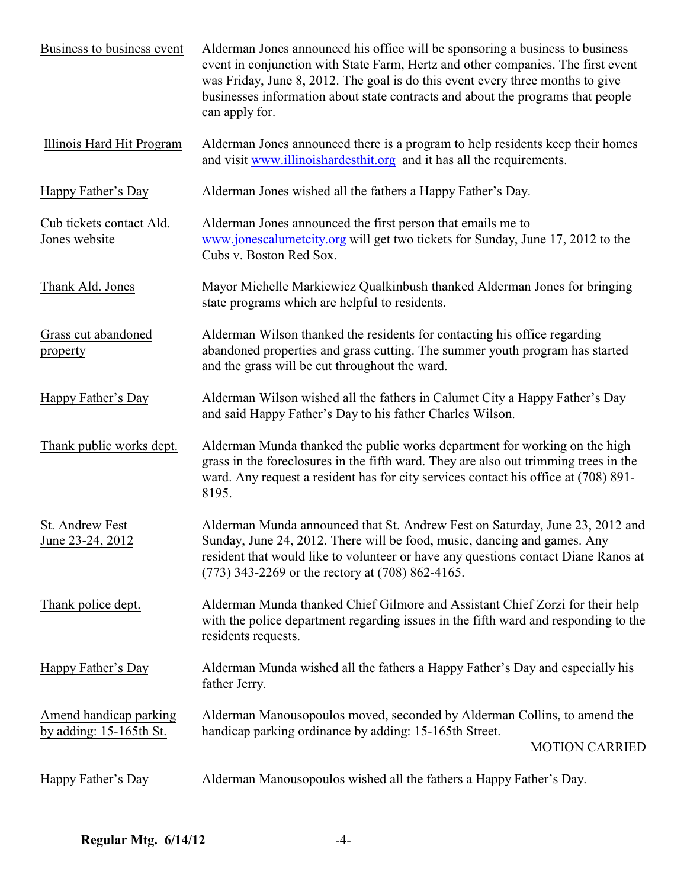| Business to business event                           | Alderman Jones announced his office will be sponsoring a business to business<br>event in conjunction with State Farm, Hertz and other companies. The first event<br>was Friday, June 8, 2012. The goal is do this event every three months to give<br>businesses information about state contracts and about the programs that people<br>can apply for. |  |  |
|------------------------------------------------------|----------------------------------------------------------------------------------------------------------------------------------------------------------------------------------------------------------------------------------------------------------------------------------------------------------------------------------------------------------|--|--|
| Illinois Hard Hit Program                            | Alderman Jones announced there is a program to help residents keep their homes<br>and visit www.illinoishardesthit.org and it has all the requirements.                                                                                                                                                                                                  |  |  |
| Happy Father's Day                                   | Alderman Jones wished all the fathers a Happy Father's Day.                                                                                                                                                                                                                                                                                              |  |  |
| Cub tickets contact Ald.<br>Jones website            | Alderman Jones announced the first person that emails me to<br>www.jonescalumetcity.org will get two tickets for Sunday, June 17, 2012 to the<br>Cubs v. Boston Red Sox.                                                                                                                                                                                 |  |  |
| Thank Ald. Jones                                     | Mayor Michelle Markiewicz Qualkinbush thanked Alderman Jones for bringing<br>state programs which are helpful to residents.                                                                                                                                                                                                                              |  |  |
| Grass cut abandoned<br>property                      | Alderman Wilson thanked the residents for contacting his office regarding<br>abandoned properties and grass cutting. The summer youth program has started<br>and the grass will be cut throughout the ward.                                                                                                                                              |  |  |
| Happy Father's Day                                   | Alderman Wilson wished all the fathers in Calumet City a Happy Father's Day<br>and said Happy Father's Day to his father Charles Wilson.                                                                                                                                                                                                                 |  |  |
| Thank public works dept.                             | Alderman Munda thanked the public works department for working on the high<br>grass in the foreclosures in the fifth ward. They are also out trimming trees in the<br>ward. Any request a resident has for city services contact his office at (708) 891-<br>8195.                                                                                       |  |  |
| St. Andrew Fest<br>June 23-24, 2012                  | Alderman Munda announced that St. Andrew Fest on Saturday, June 23, 2012 and<br>Sunday, June 24, 2012. There will be food, music, dancing and games. Any<br>resident that would like to volunteer or have any questions contact Diane Ranos at<br>(773) 343-2269 or the rectory at (708) 862-4165.                                                       |  |  |
| Thank police dept.                                   | Alderman Munda thanked Chief Gilmore and Assistant Chief Zorzi for their help<br>with the police department regarding issues in the fifth ward and responding to the<br>residents requests.                                                                                                                                                              |  |  |
| Happy Father's Day                                   | Alderman Munda wished all the fathers a Happy Father's Day and especially his<br>father Jerry.                                                                                                                                                                                                                                                           |  |  |
| Amend handicap parking<br>by adding: $15-165$ th St. | Alderman Manousopoulos moved, seconded by Alderman Collins, to amend the<br>handicap parking ordinance by adding: 15-165th Street.<br><b>MOTION CARRIED</b>                                                                                                                                                                                              |  |  |
| Happy Father's Day                                   | Alderman Manousopoulos wished all the fathers a Happy Father's Day.                                                                                                                                                                                                                                                                                      |  |  |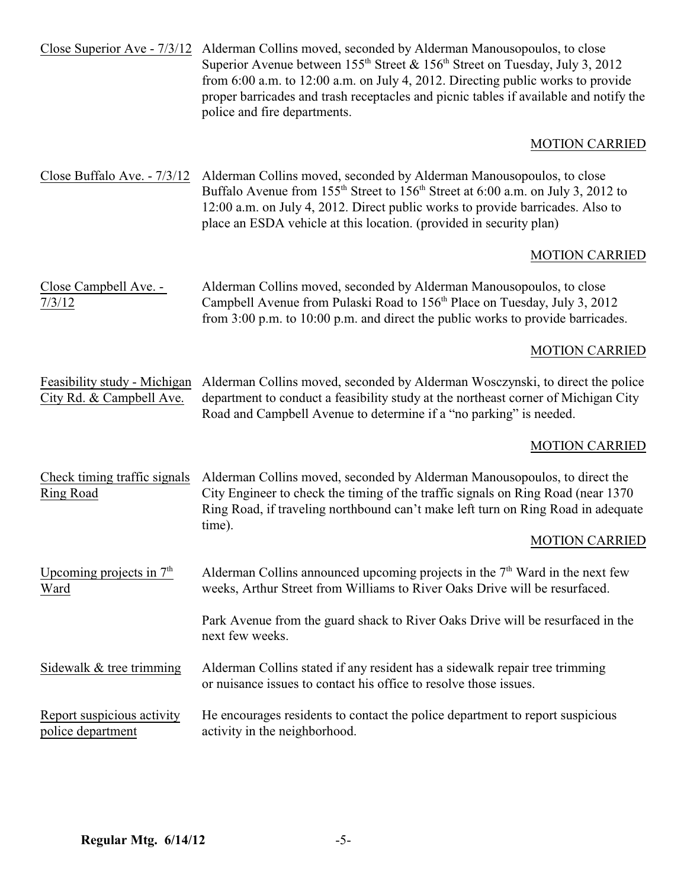| Close Superior Ave - 7/3/12                              | Alderman Collins moved, seconded by Alderman Manousopoulos, to close<br>Superior Avenue between $155th$ Street & $156th$ Street on Tuesday, July 3, 2012<br>from 6:00 a.m. to 12:00 a.m. on July 4, 2012. Directing public works to provide<br>proper barricades and trash receptacles and picnic tables if available and notify the<br>police and fire departments. |  |
|----------------------------------------------------------|----------------------------------------------------------------------------------------------------------------------------------------------------------------------------------------------------------------------------------------------------------------------------------------------------------------------------------------------------------------------|--|
|                                                          | <b>MOTION CARRIED</b>                                                                                                                                                                                                                                                                                                                                                |  |
| Close Buffalo Ave. - 7/3/12                              | Alderman Collins moved, seconded by Alderman Manousopoulos, to close<br>Buffalo Avenue from 155 <sup>th</sup> Street to 156 <sup>th</sup> Street at 6:00 a.m. on July 3, 2012 to<br>12:00 a.m. on July 4, 2012. Direct public works to provide barricades. Also to<br>place an ESDA vehicle at this location. (provided in security plan)                            |  |
|                                                          | <b>MOTION CARRIED</b>                                                                                                                                                                                                                                                                                                                                                |  |
| Close Campbell Ave. -<br>7/3/12                          | Alderman Collins moved, seconded by Alderman Manousopoulos, to close<br>Campbell Avenue from Pulaski Road to 156 <sup>th</sup> Place on Tuesday, July 3, 2012<br>from 3:00 p.m. to 10:00 p.m. and direct the public works to provide barricades.                                                                                                                     |  |
|                                                          | <b>MOTION CARRIED</b>                                                                                                                                                                                                                                                                                                                                                |  |
| Feasibility study - Michigan<br>City Rd. & Campbell Ave. | Alderman Collins moved, seconded by Alderman Wosczynski, to direct the police<br>department to conduct a feasibility study at the northeast corner of Michigan City<br>Road and Campbell Avenue to determine if a "no parking" is needed.                                                                                                                            |  |
|                                                          | <b>MOTION CARRIED</b>                                                                                                                                                                                                                                                                                                                                                |  |
| Check timing traffic signals<br>Ring Road                | Alderman Collins moved, seconded by Alderman Manousopoulos, to direct the<br>City Engineer to check the timing of the traffic signals on Ring Road (near 1370)<br>Ring Road, if traveling northbound can't make left turn on Ring Road in adequate<br>time).                                                                                                         |  |
|                                                          | <b>MOTION CARRIED</b>                                                                                                                                                                                                                                                                                                                                                |  |
| Upcoming projects in $7th$<br>Ward                       | Alderman Collins announced upcoming projects in the $7th$ Ward in the next few<br>weeks, Arthur Street from Williams to River Oaks Drive will be resurfaced.                                                                                                                                                                                                         |  |
|                                                          | Park Avenue from the guard shack to River Oaks Drive will be resurfaced in the<br>next few weeks.                                                                                                                                                                                                                                                                    |  |
| Sidewalk & tree trimming                                 | Alderman Collins stated if any resident has a sidewalk repair tree trimming<br>or nuisance issues to contact his office to resolve those issues.                                                                                                                                                                                                                     |  |
| Report suspicious activity<br>police department          | He encourages residents to contact the police department to report suspicious<br>activity in the neighborhood.                                                                                                                                                                                                                                                       |  |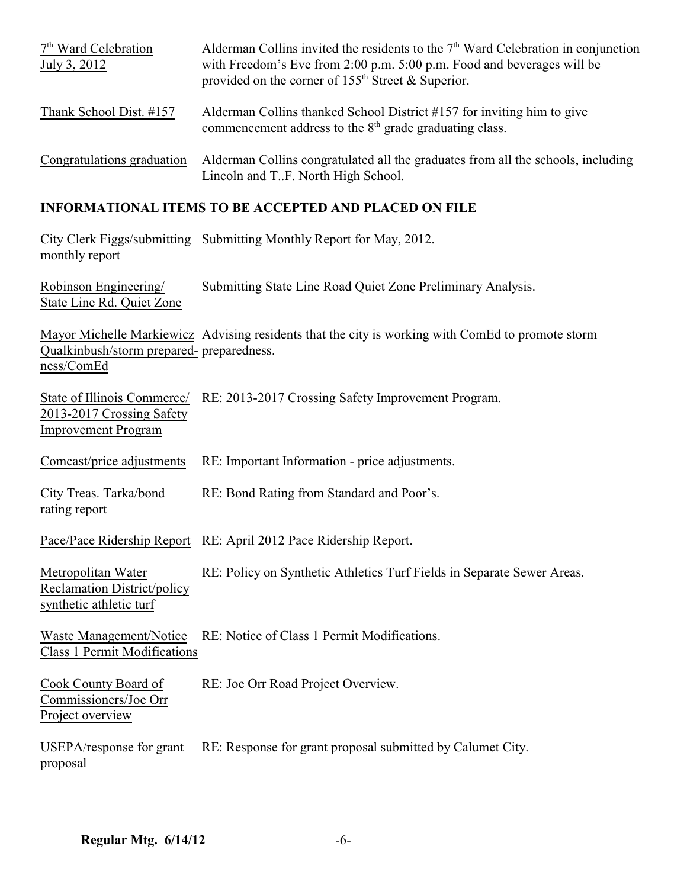| $7th$ Ward Celebration<br>July 3, 2012 | Alderman Collins invited the residents to the $7th$ Ward Celebration in conjunction<br>with Freedom's Eve from 2:00 p.m. 5:00 p.m. Food and beverages will be<br>provided on the corner of $155th$ Street & Superior. |
|----------------------------------------|-----------------------------------------------------------------------------------------------------------------------------------------------------------------------------------------------------------------------|
| Thank School Dist. #157                | Alderman Collins thanked School District #157 for inviting him to give<br>commencement address to the 8 <sup>th</sup> grade graduating class.                                                                         |
| Congratulations graduation             | Alderman Collins congratulated all the graduates from all the schools, including<br>Lincoln and TF. North High School.                                                                                                |

## **INFORMATIONAL ITEMS TO BE ACCEPTED AND PLACED ON FILE**

| monthly report                                                                         | City Clerk Figgs/submitting Submitting Monthly Report for May, 2012.                              |
|----------------------------------------------------------------------------------------|---------------------------------------------------------------------------------------------------|
| Robinson Engineering/<br>State Line Rd. Quiet Zone                                     | Submitting State Line Road Quiet Zone Preliminary Analysis.                                       |
| Qualkinbush/storm prepared- preparedness.<br>ness/ComEd                                | Mayor Michelle Markiewicz Advising residents that the city is working with ComEd to promote storm |
| State of Illinois Commerce/<br>2013-2017 Crossing Safety<br><b>Improvement Program</b> | RE: 2013-2017 Crossing Safety Improvement Program.                                                |
| Comcast/price adjustments                                                              | RE: Important Information - price adjustments.                                                    |
| City Treas. Tarka/bond<br>rating report                                                | RE: Bond Rating from Standard and Poor's.                                                         |
|                                                                                        | Pace/Pace Ridership Report RE: April 2012 Pace Ridership Report.                                  |
| Metropolitan Water<br><b>Reclamation District/policy</b><br>synthetic athletic turf    | RE: Policy on Synthetic Athletics Turf Fields in Separate Sewer Areas.                            |
| Waste Management/Notice<br><b>Class 1 Permit Modifications</b>                         | RE: Notice of Class 1 Permit Modifications.                                                       |
| Cook County Board of<br>Commissioners/Joe Orr<br>Project overview                      | RE: Joe Orr Road Project Overview.                                                                |
| USEPA/response for grant<br>proposal                                                   | RE: Response for grant proposal submitted by Calumet City.                                        |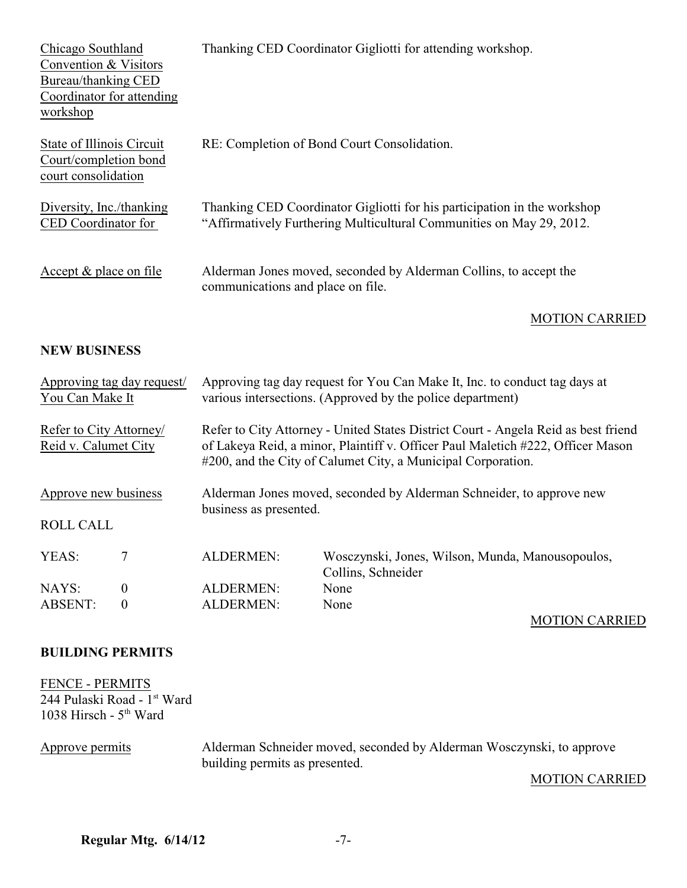| Chicago Southland<br>Convention & Visitors<br>Bureau/thanking CED<br>Coordinator for attending<br>workshop |                                   | Thanking CED Coordinator Gigliotti for attending workshop.                                                                                                                                                                            |  |
|------------------------------------------------------------------------------------------------------------|-----------------------------------|---------------------------------------------------------------------------------------------------------------------------------------------------------------------------------------------------------------------------------------|--|
| State of Illinois Circuit<br>Court/completion bond<br>court consolidation                                  |                                   | RE: Completion of Bond Court Consolidation.                                                                                                                                                                                           |  |
| Diversity, Inc./thanking<br>CED Coordinator for                                                            |                                   | Thanking CED Coordinator Gigliotti for his participation in the workshop<br>"Affirmatively Furthering Multicultural Communities on May 29, 2012.                                                                                      |  |
| Accept & place on file                                                                                     | communications and place on file. | Alderman Jones moved, seconded by Alderman Collins, to accept the                                                                                                                                                                     |  |
|                                                                                                            |                                   | <b>MOTION CARRIED</b>                                                                                                                                                                                                                 |  |
| <b>NEW BUSINESS</b>                                                                                        |                                   |                                                                                                                                                                                                                                       |  |
| Approving tag day request/<br>You Can Make It                                                              |                                   | Approving tag day request for You Can Make It, Inc. to conduct tag days at<br>various intersections. (Approved by the police department)                                                                                              |  |
| Refer to City Attorney/<br>Reid v. Calumet City                                                            |                                   | Refer to City Attorney - United States District Court - Angela Reid as best friend<br>of Lakeya Reid, a minor, Plaintiff v. Officer Paul Maletich #222, Officer Mason<br>#200, and the City of Calumet City, a Municipal Corporation. |  |
| Approve new business                                                                                       |                                   | Alderman Jones moved, seconded by Alderman Schneider, to approve new                                                                                                                                                                  |  |
| <b>ROLL CALL</b>                                                                                           | business as presented.            |                                                                                                                                                                                                                                       |  |
| YEAS:<br>7                                                                                                 | <b>ALDERMEN:</b>                  | Wosczynski, Jones, Wilson, Munda, Manousopoulos,<br>Collins, Schneider                                                                                                                                                                |  |
| NAYS:<br>$\boldsymbol{0}$                                                                                  | <b>ALDERMEN:</b>                  | None                                                                                                                                                                                                                                  |  |
| <b>ABSENT:</b><br>$\boldsymbol{0}$                                                                         | <b>ALDERMEN:</b>                  | None                                                                                                                                                                                                                                  |  |
|                                                                                                            |                                   | <b>MOTION CARRIED</b>                                                                                                                                                                                                                 |  |

### **BUILDING PERMITS**

FENCE - PERMITS 244 Pulaski Road - 1<sup>st</sup> Ward 1038 Hirsch -  $5<sup>th</sup>$  Ward

Approve permits Alderman Schneider moved, seconded by Alderman Wosczynski, to approve building permits as presented.

### MOTION CARRIED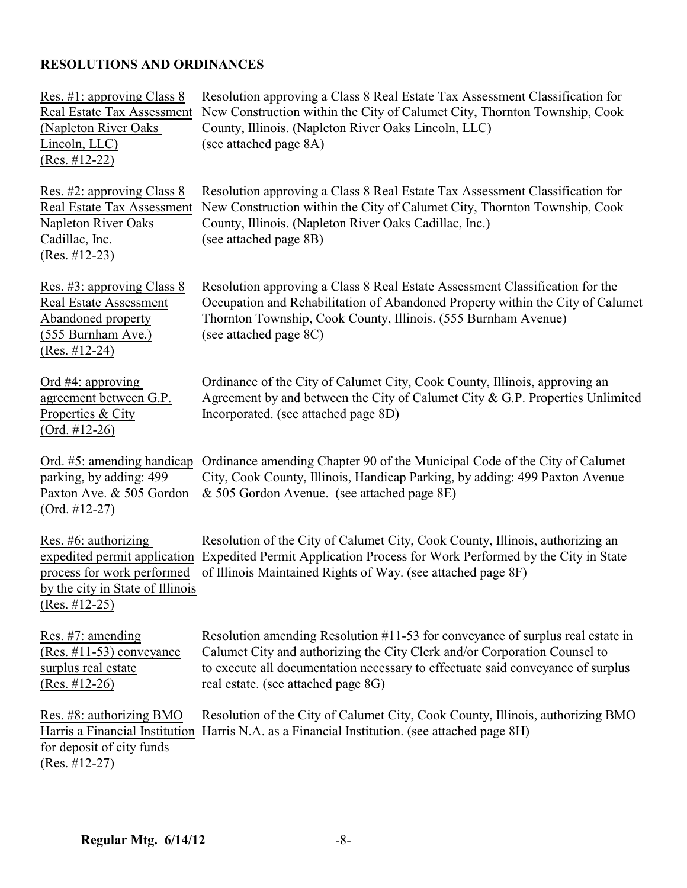# **RESOLUTIONS AND ORDINANCES**

| Res. #1: approving Class 8<br>Real Estate Tax Assessment<br>(Napleton River Oaks)<br>Lincoln, LLC)<br>$(Res. #12-22)$       | Resolution approving a Class 8 Real Estate Tax Assessment Classification for<br>New Construction within the City of Calumet City, Thornton Township, Cook<br>County, Illinois. (Napleton River Oaks Lincoln, LLC)<br>(see attached page 8A)                                           |
|-----------------------------------------------------------------------------------------------------------------------------|---------------------------------------------------------------------------------------------------------------------------------------------------------------------------------------------------------------------------------------------------------------------------------------|
| Res. #2: approving Class 8<br>Real Estate Tax Assessment<br><b>Napleton River Oaks</b><br>Cadillac, Inc.<br>$(Res. #12-23)$ | Resolution approving a Class 8 Real Estate Tax Assessment Classification for<br>New Construction within the City of Calumet City, Thornton Township, Cook<br>County, Illinois. (Napleton River Oaks Cadillac, Inc.)<br>(see attached page 8B)                                         |
| Res. #3: approving Class 8<br><b>Real Estate Assessment</b><br>Abandoned property<br>(555 Burnham Ave.)<br>$(Res. #12-24)$  | Resolution approving a Class 8 Real Estate Assessment Classification for the<br>Occupation and Rehabilitation of Abandoned Property within the City of Calumet<br>Thornton Township, Cook County, Illinois. (555 Burnham Avenue)<br>(see attached page 8C)                            |
| Ord $#4$ : approving<br>agreement between G.P.<br>Properties & City<br>$(Ord. #12-26)$                                      | Ordinance of the City of Calumet City, Cook County, Illinois, approving an<br>Agreement by and between the City of Calumet City & G.P. Properties Unlimited<br>Incorporated. (see attached page 8D)                                                                                   |
| Ord. #5: amending handicap<br>parking, by adding: 499<br>Paxton Ave. & 505 Gordon<br>$(Ord. #12-27)$                        | Ordinance amending Chapter 90 of the Municipal Code of the City of Calumet<br>City, Cook County, Illinois, Handicap Parking, by adding: 499 Paxton Avenue<br>& 505 Gordon Avenue. (see attached page 8E)                                                                              |
| Res. $#6$ : authorizing<br>process for work performed<br>by the city in State of Illinois<br>$(Res. #12-25)$                | Resolution of the City of Calumet City, Cook County, Illinois, authorizing an<br>expedited permit application Expedited Permit Application Process for Work Performed by the City in State<br>of Illinois Maintained Rights of Way. (see attached page 8F)                            |
| Res. $#7$ : amending<br>$(Res. \#11-53)$ conveyance<br>surplus real estate<br>$(Res. #12-26)$                               | Resolution amending Resolution #11-53 for conveyance of surplus real estate in<br>Calumet City and authorizing the City Clerk and/or Corporation Counsel to<br>to execute all documentation necessary to effectuate said conveyance of surplus<br>real estate. (see attached page 8G) |
| Res. #8: authorizing BMO<br>Harris a Financial Institution<br>for deposit of city funds<br>$(Res. #12-27)$                  | Resolution of the City of Calumet City, Cook County, Illinois, authorizing BMO<br>Harris N.A. as a Financial Institution. (see attached page 8H)                                                                                                                                      |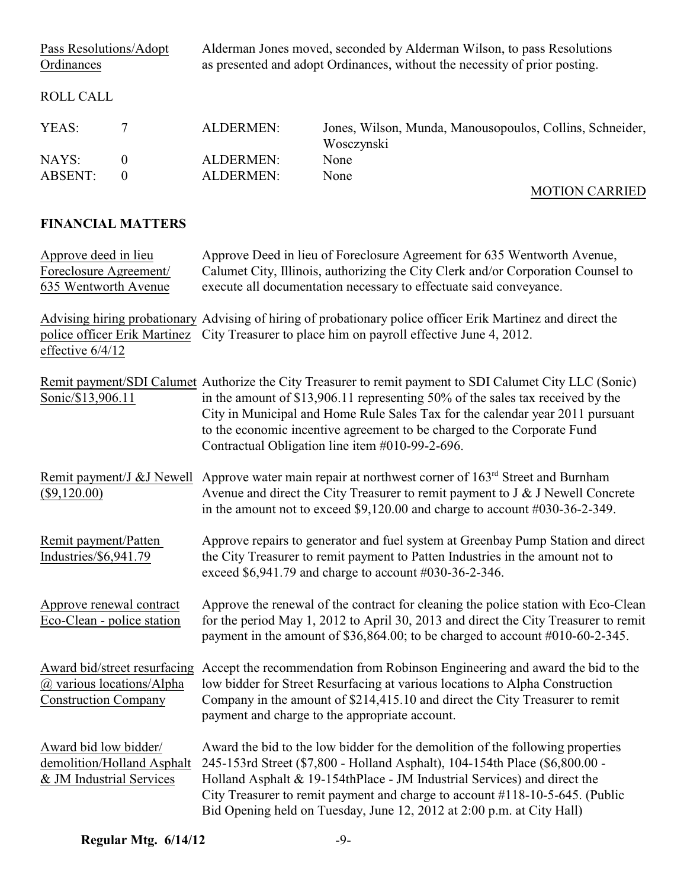| Pass Resolutions/Adopt<br>Ordinances |                | Alderman Jones moved, seconded by Alderman Wilson, to pass Resolutions<br>as presented and adopt Ordinances, without the necessity of prior posting. |                                                                        |
|--------------------------------------|----------------|------------------------------------------------------------------------------------------------------------------------------------------------------|------------------------------------------------------------------------|
| ROLL CALL                            |                |                                                                                                                                                      |                                                                        |
| YEAS:                                |                | ALDERMEN:                                                                                                                                            | Jones, Wilson, Munda, Manousopoulos, Collins, Schneider,<br>Wosczynski |
| NAYS:                                | $\theta$       | ALDERMEN:                                                                                                                                            | None                                                                   |
| <b>ABSENT:</b>                       | $\overline{0}$ | ALDERMEN:                                                                                                                                            | None                                                                   |
|                                      |                |                                                                                                                                                      | <b>MOTION CARRIED</b>                                                  |

## **FINANCIAL MATTERS**

| Approve deed in lieu<br>Foreclosure Agreement/<br>635 Wentworth Avenue                   | Approve Deed in lieu of Foreclosure Agreement for 635 Wentworth Avenue,<br>Calumet City, Illinois, authorizing the City Clerk and/or Corporation Counsel to<br>execute all documentation necessary to effectuate said conveyance.                                                                                                                                                                        |  |
|------------------------------------------------------------------------------------------|----------------------------------------------------------------------------------------------------------------------------------------------------------------------------------------------------------------------------------------------------------------------------------------------------------------------------------------------------------------------------------------------------------|--|
| effective 6/4/12                                                                         | Advising hiring probationary Advising of hiring of probationary police officer Erik Martinez and direct the<br>police officer Erik Martinez City Treasurer to place him on payroll effective June 4, 2012.                                                                                                                                                                                               |  |
| Sonic/\$13,906.11                                                                        | Remit payment/SDI Calumet Authorize the City Treasurer to remit payment to SDI Calumet City LLC (Sonic)<br>in the amount of \$13,906.11 representing 50% of the sales tax received by the<br>City in Municipal and Home Rule Sales Tax for the calendar year 2011 pursuant<br>to the economic incentive agreement to be charged to the Corporate Fund<br>Contractual Obligation line item #010-99-2-696. |  |
| Remit payment/J & J Newell<br>$(\$9,120.00)$                                             | Approve water main repair at northwest corner of 163 <sup>rd</sup> Street and Burnham<br>Avenue and direct the City Treasurer to remit payment to $J & J$ Newell Concrete<br>in the amount not to exceed $$9,120.00$ and charge to account $#030-36-2-349$ .                                                                                                                                             |  |
| Remit payment/Patten<br>Industries/\$6,941.79                                            | Approve repairs to generator and fuel system at Greenbay Pump Station and direct<br>the City Treasurer to remit payment to Patten Industries in the amount not to<br>exceed \$6,941.79 and charge to account #030-36-2-346.                                                                                                                                                                              |  |
| Approve renewal contract<br>Eco-Clean - police station                                   | Approve the renewal of the contract for cleaning the police station with Eco-Clean<br>for the period May 1, 2012 to April 30, 2013 and direct the City Treasurer to remit<br>payment in the amount of $$36,864.00$ ; to be charged to account $#010-60-2-345$ .                                                                                                                                          |  |
| Award bid/street resurfacing<br>@ various locations/Alpha<br><b>Construction Company</b> | Accept the recommendation from Robinson Engineering and award the bid to the<br>low bidder for Street Resurfacing at various locations to Alpha Construction<br>Company in the amount of \$214,415.10 and direct the City Treasurer to remit<br>payment and charge to the appropriate account.                                                                                                           |  |
| Award bid low bidder/<br>demolition/Holland Asphalt<br>& JM Industrial Services          | Award the bid to the low bidder for the demolition of the following properties<br>245-153rd Street (\$7,800 - Holland Asphalt), 104-154th Place (\$6,800.00 -<br>Holland Asphalt & 19-154thPlace - JM Industrial Services) and direct the<br>City Treasurer to remit payment and charge to account #118-10-5-645. (Public<br>Bid Opening held on Tuesday, June 12, 2012 at 2:00 p.m. at City Hall)       |  |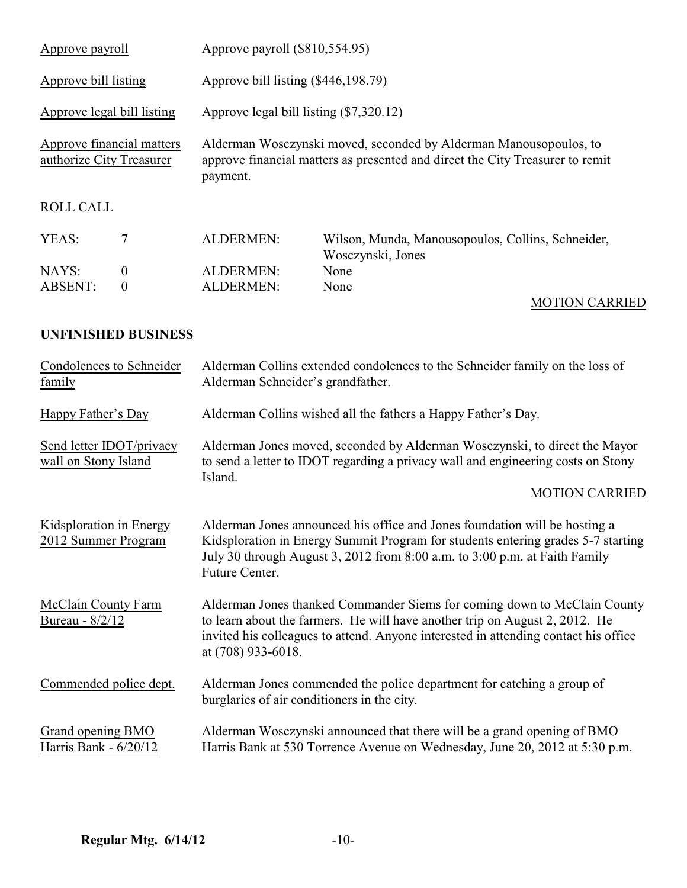| Approve payroll                                       |                  | Approve payroll (\$810,554.95)                                                                                                                                 |                                                                        |  |
|-------------------------------------------------------|------------------|----------------------------------------------------------------------------------------------------------------------------------------------------------------|------------------------------------------------------------------------|--|
| Approve bill listing                                  |                  | Approve bill listing (\$446,198.79)                                                                                                                            |                                                                        |  |
| Approve legal bill listing                            |                  | Approve legal bill listing (\$7,320.12)                                                                                                                        |                                                                        |  |
| Approve financial matters<br>authorize City Treasurer |                  | Alderman Wosczynski moved, seconded by Alderman Manousopoulos, to<br>approve financial matters as presented and direct the City Treasurer to remit<br>payment. |                                                                        |  |
| <b>ROLL CALL</b>                                      |                  |                                                                                                                                                                |                                                                        |  |
| YEAS:                                                 | 7                | <b>ALDERMEN:</b>                                                                                                                                               | Wilson, Munda, Manousopoulos, Collins, Schneider,<br>Wosczynski, Jones |  |
| NAYS:                                                 | $\boldsymbol{0}$ | <b>ALDERMEN:</b>                                                                                                                                               | None                                                                   |  |
| <b>ABSENT:</b>                                        | $\theta$         | <b>ALDERMEN:</b>                                                                                                                                               | None                                                                   |  |
|                                                       |                  |                                                                                                                                                                | <b>MOTION CARRIED</b>                                                  |  |

### **UNFINISHED BUSINESS**

| Condolences to Schneider<br>family               | Alderman Collins extended condolences to the Schneider family on the loss of<br>Alderman Schneider's grandfather.                                                                                                                                                    |
|--------------------------------------------------|----------------------------------------------------------------------------------------------------------------------------------------------------------------------------------------------------------------------------------------------------------------------|
| Happy Father's Day                               | Alderman Collins wished all the fathers a Happy Father's Day.                                                                                                                                                                                                        |
| Send letter IDOT/privacy<br>wall on Stony Island | Alderman Jones moved, seconded by Alderman Wosczynski, to direct the Mayor<br>to send a letter to IDOT regarding a privacy wall and engineering costs on Stony<br>Island.                                                                                            |
|                                                  | <b>MOTION CARRIED</b>                                                                                                                                                                                                                                                |
| Kidsploration in Energy<br>2012 Summer Program   | Alderman Jones announced his office and Jones foundation will be hosting a<br>Kidsploration in Energy Summit Program for students entering grades 5-7 starting<br>July 30 through August 3, 2012 from 8:00 a.m. to 3:00 p.m. at Faith Family<br>Future Center.       |
| McClain County Farm<br>Bureau - 8/2/12           | Alderman Jones thanked Commander Siems for coming down to McClain County<br>to learn about the farmers. He will have another trip on August 2, 2012. He<br>invited his colleagues to attend. Anyone interested in attending contact his office<br>at (708) 933-6018. |
| Commended police dept.                           | Alderman Jones commended the police department for catching a group of<br>burglaries of air conditioners in the city.                                                                                                                                                |
| Grand opening BMO<br>Harris Bank - 6/20/12       | Alderman Wosczynski announced that there will be a grand opening of BMO<br>Harris Bank at 530 Torrence Avenue on Wednesday, June 20, 2012 at 5:30 p.m.                                                                                                               |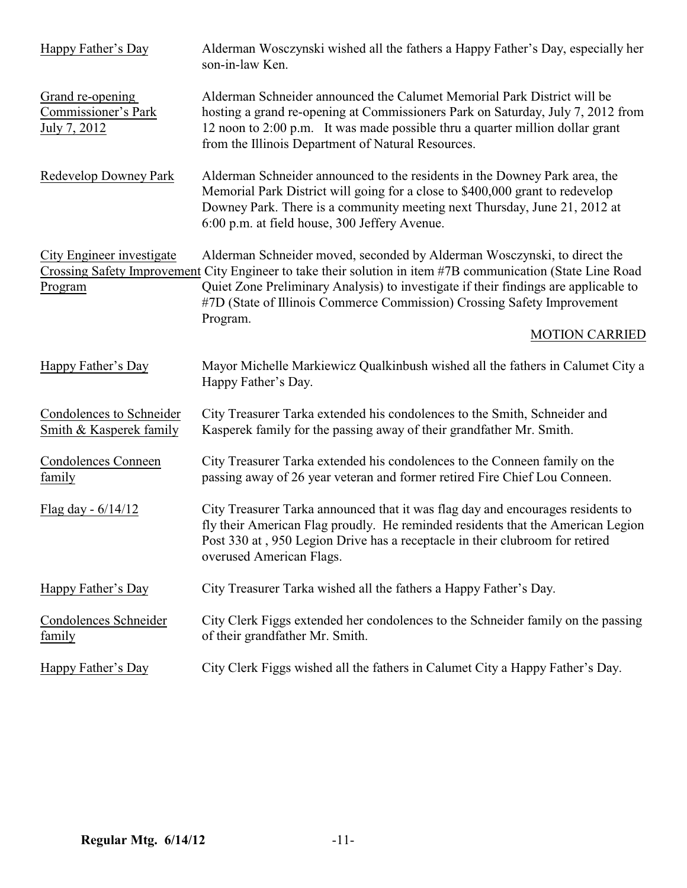| Happy Father's Day                                         | Alderman Wosczynski wished all the fathers a Happy Father's Day, especially her<br>son-in-law Ken.                                                                                                                                                                                                                                                                    |
|------------------------------------------------------------|-----------------------------------------------------------------------------------------------------------------------------------------------------------------------------------------------------------------------------------------------------------------------------------------------------------------------------------------------------------------------|
| Grand re-opening<br>Commissioner's Park<br>July 7, 2012    | Alderman Schneider announced the Calumet Memorial Park District will be<br>hosting a grand re-opening at Commissioners Park on Saturday, July 7, 2012 from<br>12 noon to 2:00 p.m. It was made possible thru a quarter million dollar grant<br>from the Illinois Department of Natural Resources.                                                                     |
| Redevelop Downey Park                                      | Alderman Schneider announced to the residents in the Downey Park area, the<br>Memorial Park District will going for a close to \$400,000 grant to redevelop<br>Downey Park. There is a community meeting next Thursday, June 21, 2012 at<br>6:00 p.m. at field house, 300 Jeffery Avenue.                                                                             |
| City Engineer investigate<br>Program                       | Alderman Schneider moved, seconded by Alderman Wosczynski, to direct the<br>Crossing Safety Improvement City Engineer to take their solution in item #7B communication (State Line Road<br>Quiet Zone Preliminary Analysis) to investigate if their findings are applicable to<br>#7D (State of Illinois Commerce Commission) Crossing Safety Improvement<br>Program. |
|                                                            | <b>MOTION CARRIED</b>                                                                                                                                                                                                                                                                                                                                                 |
| Happy Father's Day                                         | Mayor Michelle Markiewicz Qualkinbush wished all the fathers in Calumet City a<br>Happy Father's Day.                                                                                                                                                                                                                                                                 |
| <b>Condolences to Schneider</b><br>Smith & Kasperek family | City Treasurer Tarka extended his condolences to the Smith, Schneider and<br>Kasperek family for the passing away of their grandfather Mr. Smith.                                                                                                                                                                                                                     |
| <b>Condolences Conneen</b><br>family                       | City Treasurer Tarka extended his condolences to the Conneen family on the<br>passing away of 26 year veteran and former retired Fire Chief Lou Conneen.                                                                                                                                                                                                              |
| Flag day - $6/14/12$                                       | City Treasurer Tarka announced that it was flag day and encourages residents to<br>fly their American Flag proudly. He reminded residents that the American Legion<br>Post 330 at, 950 Legion Drive has a receptacle in their clubroom for retired<br>overused American Flags.                                                                                        |
| Happy Father's Day                                         | City Treasurer Tarka wished all the fathers a Happy Father's Day.                                                                                                                                                                                                                                                                                                     |
| Condolences Schneider<br>family                            | City Clerk Figgs extended her condolences to the Schneider family on the passing<br>of their grandfather Mr. Smith.                                                                                                                                                                                                                                                   |
| Happy Father's Day                                         | City Clerk Figgs wished all the fathers in Calumet City a Happy Father's Day.                                                                                                                                                                                                                                                                                         |